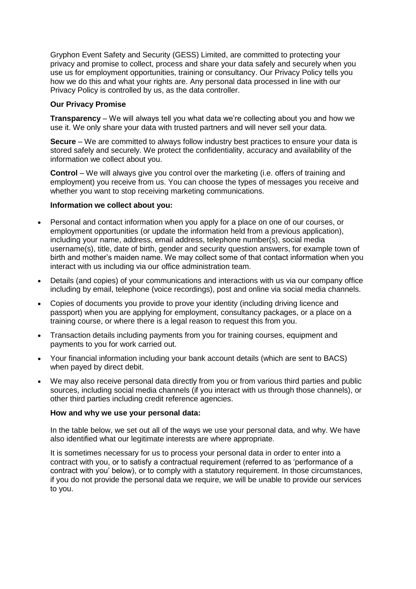Gryphon Event Safety and Security (GESS) Limited, are committed to protecting your privacy and promise to collect, process and share your data safely and securely when you use us for employment opportunities, training or consultancy. Our Privacy Policy tells you how we do this and what your rights are. Any personal data processed in line with our Privacy Policy is controlled by us, as the data controller.

# **Our Privacy Promise**

**Transparency** – We will always tell you what data we're collecting about you and how we use it. We only share your data with trusted partners and will never sell your data.

**Secure** – We are committed to always follow industry best practices to ensure your data is stored safely and securely. We protect the confidentiality, accuracy and availability of the information we collect about you.

**Control** – We will always give you control over the marketing (i.e. offers of training and employment) you receive from us. You can choose the types of messages you receive and whether you want to stop receiving marketing communications.

### **Information we collect about you:**

- Personal and contact information when you apply for a place on one of our courses, or employment opportunities (or update the information held from a previous application), including your name, address, email address, telephone number(s), social media username(s), title, date of birth, gender and security question answers, for example town of birth and mother's maiden name. We may collect some of that contact information when you interact with us including via our office administration team.
- Details (and copies) of your communications and interactions with us via our company office including by email, telephone (voice recordings), post and online via social media channels.
- Copies of documents you provide to prove your identity (including driving licence and passport) when you are applying for employment, consultancy packages, or a place on a training course, or where there is a legal reason to request this from you.
- Transaction details including payments from you for training courses, equipment and payments to you for work carried out.
- Your financial information including your bank account details (which are sent to BACS) when payed by direct debit.
- We may also receive personal data directly from you or from various third parties and public sources, including social media channels (if you interact with us through those channels), or other third parties including credit reference agencies.

#### **How and why we use your personal data:**

In the table below, we set out all of the ways we use your personal data, and why. We have also identified what our legitimate interests are where appropriate.

It is sometimes necessary for us to process your personal data in order to enter into a contract with you, or to satisfy a contractual requirement (referred to as 'performance of a contract with you' below), or to comply with a statutory requirement. In those circumstances, if you do not provide the personal data we require, we will be unable to provide our services to you.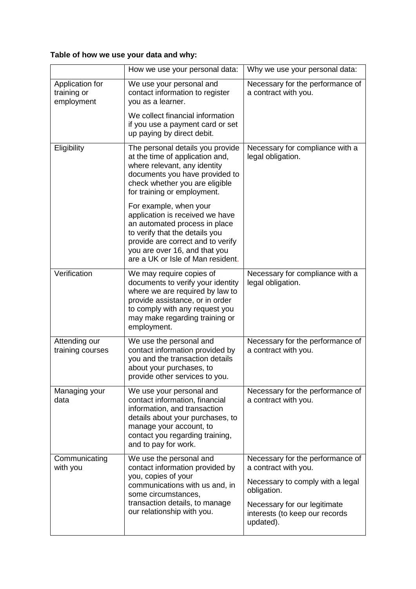# **Table of how we use your data and why:**

|                                              | How we use your personal data:                                                                                                                                                                                                          | Why we use your personal data:                                                                                                                                                             |
|----------------------------------------------|-----------------------------------------------------------------------------------------------------------------------------------------------------------------------------------------------------------------------------------------|--------------------------------------------------------------------------------------------------------------------------------------------------------------------------------------------|
| Application for<br>training or<br>employment | We use your personal and<br>contact information to register<br>you as a learner.                                                                                                                                                        | Necessary for the performance of<br>a contract with you.                                                                                                                                   |
|                                              | We collect financial information<br>if you use a payment card or set<br>up paying by direct debit.                                                                                                                                      |                                                                                                                                                                                            |
| Eligibility                                  | The personal details you provide<br>at the time of application and,<br>where relevant, any identity<br>documents you have provided to<br>check whether you are eligible<br>for training or employment.                                  | Necessary for compliance with a<br>legal obligation.                                                                                                                                       |
|                                              | For example, when your<br>application is received we have<br>an automated process in place<br>to verify that the details you<br>provide are correct and to verify<br>you are over 16, and that you<br>are a UK or Isle of Man resident. |                                                                                                                                                                                            |
| Verification                                 | We may require copies of<br>documents to verify your identity<br>where we are required by law to<br>provide assistance, or in order<br>to comply with any request you<br>may make regarding training or<br>employment.                  | Necessary for compliance with a<br>legal obligation.                                                                                                                                       |
| Attending our<br>training courses            | We use the personal and<br>contact information provided by<br>you and the transaction details<br>about your purchases, to<br>provide other services to you.                                                                             | Necessary for the performance of<br>a contract with you.                                                                                                                                   |
| Managing your<br>data                        | We use your personal and<br>contact information, financial<br>information, and transaction<br>details about your purchases, to<br>manage your account, to<br>contact you regarding training,<br>and to pay for work.                    | Necessary for the performance of<br>a contract with you.                                                                                                                                   |
| Communicating<br>with you                    | We use the personal and<br>contact information provided by<br>you, copies of your<br>communications with us and, in<br>some circumstances,<br>transaction details, to manage<br>our relationship with you.                              | Necessary for the performance of<br>a contract with you.<br>Necessary to comply with a legal<br>obligation.<br>Necessary for our legitimate<br>interests (to keep our records<br>updated). |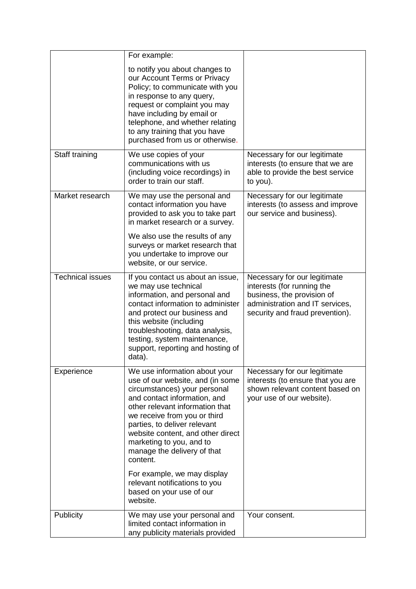|                         | For example:                                                                                                                                                                                                                                                                                                                                     |                                                                                                                                                                |
|-------------------------|--------------------------------------------------------------------------------------------------------------------------------------------------------------------------------------------------------------------------------------------------------------------------------------------------------------------------------------------------|----------------------------------------------------------------------------------------------------------------------------------------------------------------|
|                         | to notify you about changes to<br>our Account Terms or Privacy<br>Policy; to communicate with you<br>in response to any query,<br>request or complaint you may<br>have including by email or<br>telephone, and whether relating<br>to any training that you have<br>purchased from us or otherwise.                                              |                                                                                                                                                                |
| Staff training          | We use copies of your<br>communications with us<br>(including voice recordings) in<br>order to train our staff.                                                                                                                                                                                                                                  | Necessary for our legitimate<br>interests (to ensure that we are<br>able to provide the best service<br>to you).                                               |
| Market research         | We may use the personal and<br>contact information you have<br>provided to ask you to take part<br>in market research or a survey.<br>We also use the results of any                                                                                                                                                                             | Necessary for our legitimate<br>interests (to assess and improve<br>our service and business).                                                                 |
|                         | surveys or market research that<br>you undertake to improve our<br>website, or our service.                                                                                                                                                                                                                                                      |                                                                                                                                                                |
| <b>Technical issues</b> | If you contact us about an issue,<br>we may use technical<br>information, and personal and<br>contact information to administer<br>and protect our business and<br>this website (including<br>troubleshooting, data analysis,<br>testing, system maintenance,<br>support, reporting and hosting of<br>data).                                     | Necessary for our legitimate<br>interests (for running the<br>business, the provision of<br>administration and IT services,<br>security and fraud prevention). |
| Experience              | We use information about your<br>use of our website, and (in some<br>circumstances) your personal<br>and contact information, and<br>other relevant information that<br>we receive from you or third<br>parties, to deliver relevant<br>website content, and other direct<br>marketing to you, and to<br>manage the delivery of that<br>content. | Necessary for our legitimate<br>interests (to ensure that you are<br>shown relevant content based on<br>your use of our website).                              |
|                         | For example, we may display<br>relevant notifications to you<br>based on your use of our<br>website.                                                                                                                                                                                                                                             |                                                                                                                                                                |
| Publicity               | We may use your personal and<br>limited contact information in<br>any publicity materials provided                                                                                                                                                                                                                                               | Your consent.                                                                                                                                                  |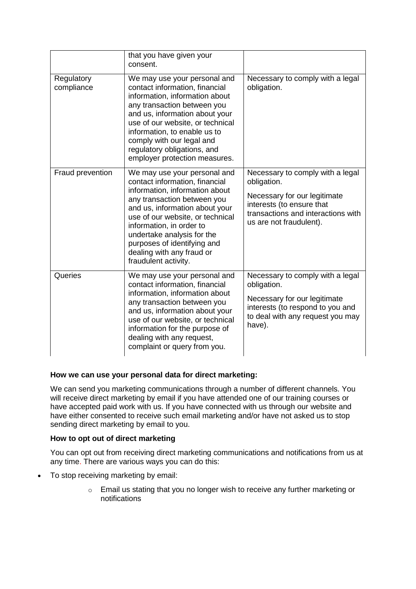|                          | that you have given your<br>consent.                                                                                                                                                                                                                                                                                                                |                                                                                                                                                                               |
|--------------------------|-----------------------------------------------------------------------------------------------------------------------------------------------------------------------------------------------------------------------------------------------------------------------------------------------------------------------------------------------------|-------------------------------------------------------------------------------------------------------------------------------------------------------------------------------|
| Regulatory<br>compliance | We may use your personal and<br>contact information, financial<br>information, information about<br>any transaction between you<br>and us, information about your<br>use of our website, or technical<br>information, to enable us to<br>comply with our legal and<br>regulatory obligations, and<br>employer protection measures.                  | Necessary to comply with a legal<br>obligation.                                                                                                                               |
| Fraud prevention         | We may use your personal and<br>contact information, financial<br>information, information about<br>any transaction between you<br>and us, information about your<br>use of our website, or technical<br>information, in order to<br>undertake analysis for the<br>purposes of identifying and<br>dealing with any fraud or<br>fraudulent activity. | Necessary to comply with a legal<br>obligation.<br>Necessary for our legitimate<br>interests (to ensure that<br>transactions and interactions with<br>us are not fraudulent). |
| Queries                  | We may use your personal and<br>contact information, financial<br>information, information about<br>any transaction between you<br>and us, information about your<br>use of our website, or technical<br>information for the purpose of<br>dealing with any request,<br>complaint or query from you.                                                | Necessary to comply with a legal<br>obligation.<br>Necessary for our legitimate<br>interests (to respond to you and<br>to deal with any request you may<br>have).             |

# **How we can use your personal data for direct marketing:**

We can send you marketing communications through a number of different channels. You will receive direct marketing by email if you have attended one of our training courses or have accepted paid work with us. If you have connected with us through our website and have either consented to receive such email marketing and/or have not asked us to stop sending direct marketing by email to you.

# **How to opt out of direct marketing**

You can opt out from receiving direct marketing communications and notifications from us at any time. There are various ways you can do this:

- To stop receiving marketing by email:
	- o Email us stating that you no longer wish to receive any further marketing or notifications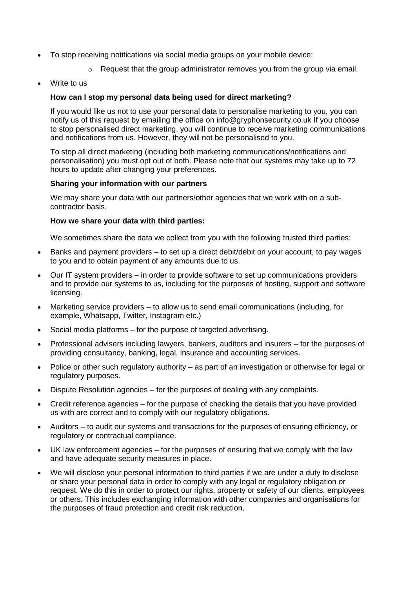- To stop receiving notifications via social media groups on your mobile device:
	- $\circ$  Request that the group administrator removes you from the group via email.
- [Write to us](https://www.national-lottery.co.uk/privacy-policy#contactus)

# **How can I stop my personal data being used for direct marketing?**

If you would like us not to use your personal data to personalise marketing to you, you can notify us of this request by emailing the office on [info@gryphonsecurity.co.uk](mailto:info@gryphonsecurity.co.uk) If you choose to stop personalised direct marketing, you will continue to receive marketing communications and notifications from us. However, they will not be personalised to you.

To stop all direct marketing (including both marketing communications/notifications and personalisation) you must opt out of both. Please note that our systems may take up to 72 hours to update after changing your preferences.

#### **Sharing your information with our partners**

We may share your data with our partners/other agencies that we work with on a subcontractor basis.

### **How we share your data with third parties:**

We sometimes share the data we collect from you with the following trusted third parties:

- Banks and payment providers to set up a direct debit/debit on your account, to pay wages to you and to obtain payment of any amounts due to us.
- Our IT system providers in order to provide software to set up communications providers and to provide our systems to us, including for the purposes of hosting, support and software licensing.
- Marketing service providers to allow us to send email communications (including, for example, Whatsapp, Twitter, Instagram etc.)
- Social media platforms for the purpose of targeted advertising.
- Professional advisers including lawyers, bankers, auditors and insurers for the purposes of providing consultancy, banking, legal, insurance and accounting services.
- Police or other such regulatory authority as part of an investigation or otherwise for legal or regulatory purposes.
- Dispute Resolution agencies for the purposes of dealing with any complaints.
- Credit reference agencies for the purpose of checking the details that you have provided us with are correct and to comply with our regulatory obligations.
- Auditors to audit our systems and transactions for the purposes of ensuring efficiency, or regulatory or contractual compliance.
- UK law enforcement agencies for the purposes of ensuring that we comply with the law and have adequate security measures in place.
- We will disclose your personal information to third parties if we are under a duty to disclose or share your personal data in order to comply with any legal or regulatory obligation or request. We do this in order to protect our rights, property or safety of our clients, employees or others. This includes exchanging information with other companies and organisations for the purposes of fraud protection and credit risk reduction.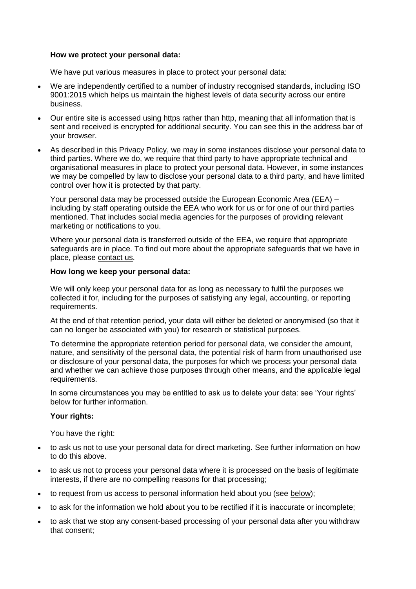### **How we protect your personal data:**

We have put various measures in place to protect your personal data:

- We are independently certified to a number of industry recognised standards, including ISO 9001:2015 which helps us maintain the highest levels of data security across our entire business.
- Our entire site is accessed using https rather than http, meaning that all information that is sent and received is encrypted for additional security. You can see this in the address bar of your browser.
- As described in this Privacy Policy, we may in some instances disclose your personal data to third parties. Where we do, we require that third party to have appropriate technical and organisational measures in place to protect your personal data. However, in some instances we may be compelled by law to disclose your personal data to a third party, and have limited control over how it is protected by that party.

Your personal data may be processed outside the European Economic Area (EEA) – including by staff operating outside the EEA who work for us or for one of our third parties mentioned. That includes social media agencies for the purposes of providing relevant marketing or notifications to you.

Where your personal data is transferred outside of the EEA, we require that appropriate safeguards are in place. To find out more about the appropriate safeguards that we have in place, please [contact us.](https://www.national-lottery.co.uk/privacy-policy#contactus)

### **How long we keep your personal data:**

We will only keep your personal data for as long as necessary to fulfil the purposes we collected it for, including for the purposes of satisfying any legal, accounting, or reporting requirements.

At the end of that retention period, your data will either be deleted or anonymised (so that it can no longer be associated with you) for research or statistical purposes.

To determine the appropriate retention period for personal data, we consider the amount, nature, and sensitivity of the personal data, the potential risk of harm from unauthorised use or disclosure of your personal data, the purposes for which we process your personal data and whether we can achieve those purposes through other means, and the applicable legal requirements.

In some circumstances you may be entitled to ask us to delete your data: see ['Your rights'](https://www.national-lottery.co.uk/privacy-policy#yourrights) below for further information.

#### **Your rights:**

You have the right:

- to ask us not to use your personal data for direct marketing. See further information on how to do this [above.](https://www.national-lottery.co.uk/privacy-policy#directmarketing)
- to ask us not to process your personal data where it is processed on the basis of legitimate interests, if there are no compelling reasons for that processing;
- to request from us access to personal information held about you (see [below\)](https://www.national-lottery.co.uk/privacy-policy#contactus);
- to ask for the information we hold about you to be rectified if it is inaccurate or incomplete;
- to ask that we stop any consent-based processing of your personal data after you withdraw that consent;